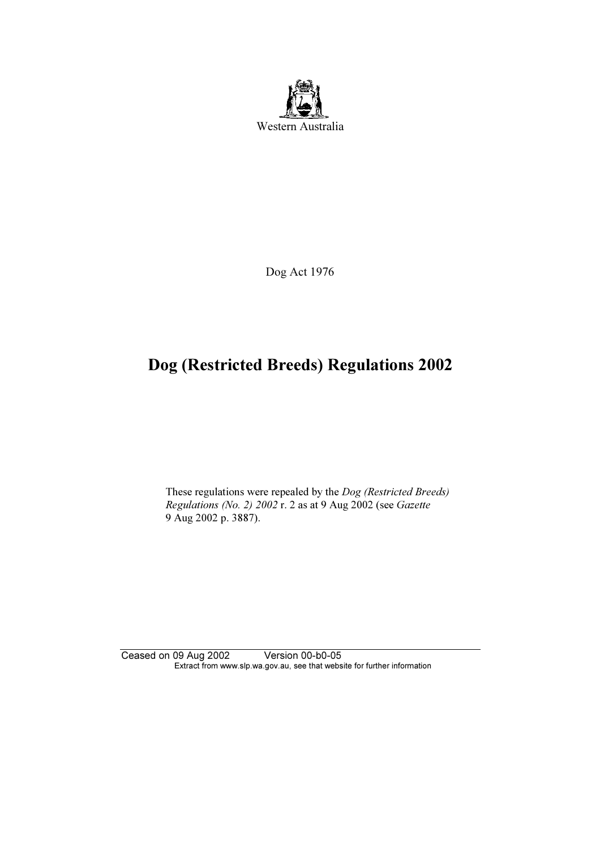

Dog Act 1976

# Dog (Restricted Breeds) Regulations 2002

 These regulations were repealed by the Dog (Restricted Breeds) Regulations (No. 2) 2002 r. 2 as at 9 Aug 2002 (see Gazette 9 Aug 2002 p. 3887).

Ceased on 09 Aug 2002 Version 00-b0-05 Extract from www.slp.wa.gov.au, see that website for further information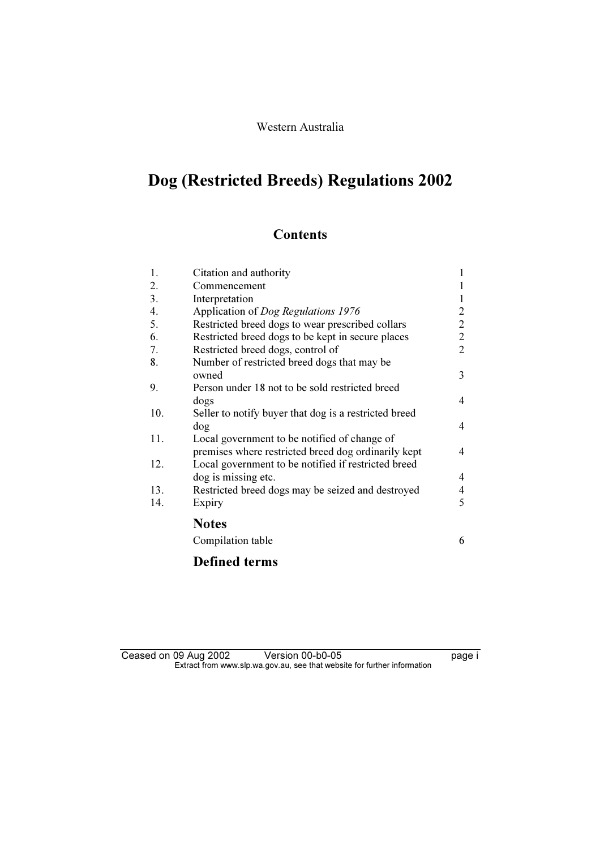# Dog (Restricted Breeds) Regulations 2002

## **Contents**

| 1.  | Citation and authority                                | 1              |
|-----|-------------------------------------------------------|----------------|
| 2.  | Commencement                                          | 1              |
| 3.  | Interpretation                                        | 1              |
| 4.  | Application of <i>Dog Regulations</i> 1976            | 2              |
| 5.  | Restricted breed dogs to wear prescribed collars      | 2              |
| 6.  | Restricted breed dogs to be kept in secure places     | 2              |
| 7.  | Restricted breed dogs, control of                     | $\overline{2}$ |
| 8.  | Number of restricted breed dogs that may be           |                |
|     | owned                                                 | 3              |
| 9.  | Person under 18 not to be sold restricted breed       |                |
|     | dogs                                                  | 4              |
| 10. | Seller to notify buyer that dog is a restricted breed |                |
|     | dog                                                   | 4              |
| 11. | Local government to be notified of change of          |                |
|     | premises where restricted breed dog ordinarily kept   | 4              |
| 12. | Local government to be notified if restricted breed   |                |
|     | dog is missing etc.                                   | 4              |
| 13. | Restricted breed dogs may be seized and destroyed     | $\overline{4}$ |
| 14. | Expiry                                                | 5              |
|     | <b>Notes</b>                                          |                |
|     | Compilation table                                     | 6              |
|     | <b>Defined terms</b>                                  |                |

## Ceased on 09 Aug 2002 Version 00-b0-05 Pressed on 09 Aug 2002  $\mathbf{F}$  from which was the set that we besite for further information  $\mathbf{F}$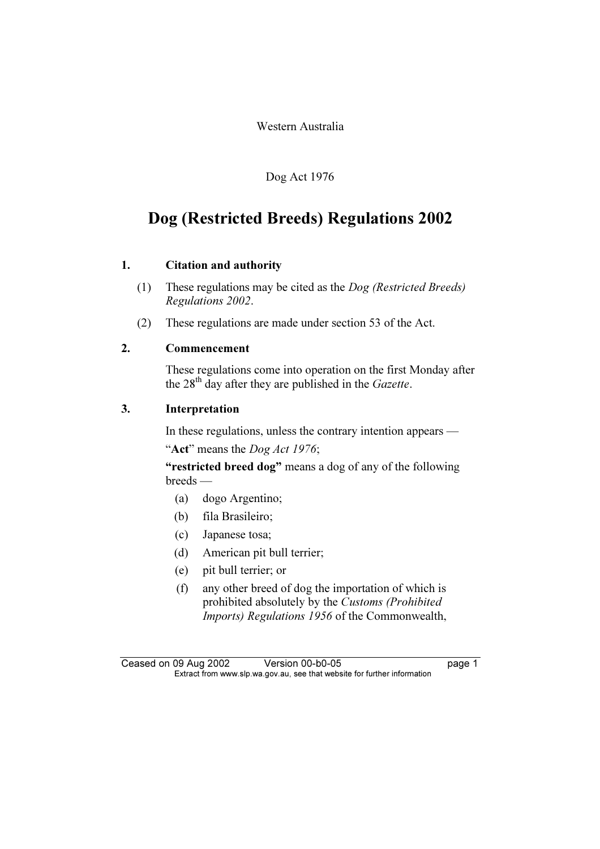Western Australia

Dog Act 1976

## Dog (Restricted Breeds) Regulations 2002

## 1. Citation and authority

- (1) These regulations may be cited as the Dog (Restricted Breeds) Regulations 2002.
- (2) These regulations are made under section 53 of the Act.

## 2. Commencement

 These regulations come into operation on the first Monday after the  $28<sup>th</sup>$  day after they are published in the *Gazette*.

## 3. Interpretation

In these regulations, unless the contrary intention appears —

"Act" means the *Dog Act 1976*;

"restricted breed dog" means a dog of any of the following breeds —

- (a) dogo Argentino;
- (b) fila Brasileiro;
- (c) Japanese tosa;
- (d) American pit bull terrier;
- (e) pit bull terrier; or
- (f) any other breed of dog the importation of which is prohibited absolutely by the Customs (Prohibited Imports) Regulations 1956 of the Commonwealth,

Ceased on 09 Aug 2002 Version 00-b0-05 page 1<br>Extract from www.slp.wa.gov.au, see that website for further information  $\mathbf{F}$  from which was the set that we besite for further information  $\mathbf{F}$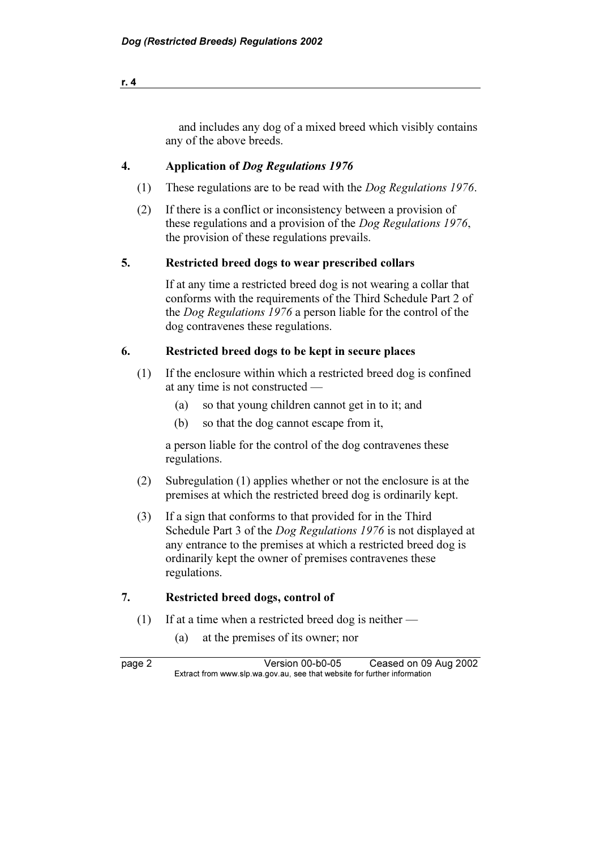| and includes any dog of a mixed breed which visibly contains |  |  |
|--------------------------------------------------------------|--|--|
| any of the above breeds.                                     |  |  |

## 4. Application of Dog Regulations 1976

- (1) These regulations are to be read with the Dog Regulations 1976.
- (2) If there is a conflict or inconsistency between a provision of these regulations and a provision of the Dog Regulations 1976, the provision of these regulations prevails.

#### 5. Restricted breed dogs to wear prescribed collars

 If at any time a restricted breed dog is not wearing a collar that conforms with the requirements of the Third Schedule Part 2 of the Dog Regulations 1976 a person liable for the control of the dog contravenes these regulations.

## 6. Restricted breed dogs to be kept in secure places

- (1) If the enclosure within which a restricted breed dog is confined at any time is not constructed —
	- (a) so that young children cannot get in to it; and
	- (b) so that the dog cannot escape from it,

 a person liable for the control of the dog contravenes these regulations.

- (2) Subregulation (1) applies whether or not the enclosure is at the premises at which the restricted breed dog is ordinarily kept.
- (3) If a sign that conforms to that provided for in the Third Schedule Part 3 of the *Dog Regulations 1976* is not displayed at any entrance to the premises at which a restricted breed dog is ordinarily kept the owner of premises contravenes these regulations.

## 7. Restricted breed dogs, control of

- (1) If at a time when a restricted breed dog is neither
	- (a) at the premises of its owner; nor

page 2 Version 00-b0-05 Ceased on 09 Aug 2002<br>Extract from www.slp.wa.gov.au, see that website for further information  $\mathbf{F}$  from which was the set that we besite for further information  $\mathbf{F}$ 

```
r. 4
```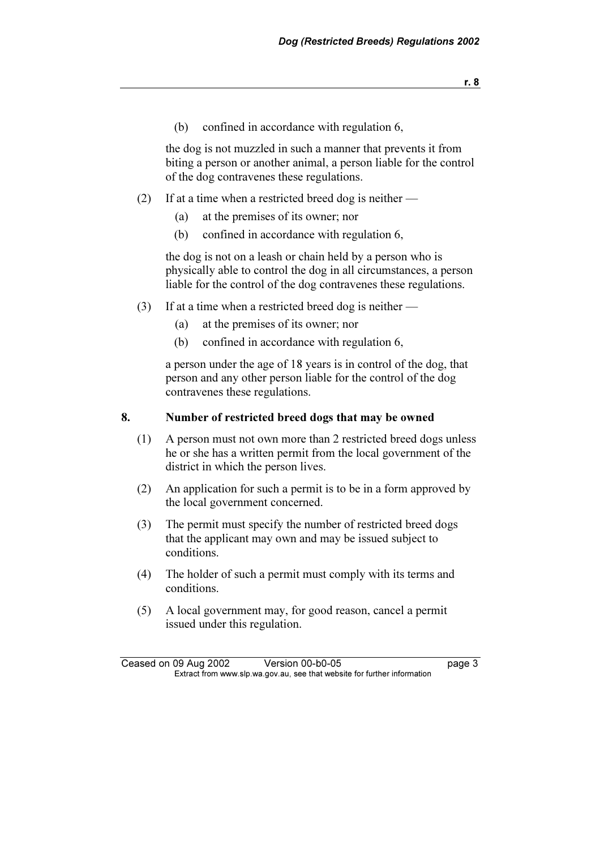(b) confined in accordance with regulation 6,

 the dog is not muzzled in such a manner that prevents it from biting a person or another animal, a person liable for the control of the dog contravenes these regulations.

- (2) If at a time when a restricted breed dog is neither
	- (a) at the premises of its owner; nor
	- (b) confined in accordance with regulation 6,

 the dog is not on a leash or chain held by a person who is physically able to control the dog in all circumstances, a person liable for the control of the dog contravenes these regulations.

- (3) If at a time when a restricted breed dog is neither
	- (a) at the premises of its owner; nor
	- (b) confined in accordance with regulation 6,

 a person under the age of 18 years is in control of the dog, that person and any other person liable for the control of the dog contravenes these regulations.

#### 8. Number of restricted breed dogs that may be owned

- (1) A person must not own more than 2 restricted breed dogs unless he or she has a written permit from the local government of the district in which the person lives.
- (2) An application for such a permit is to be in a form approved by the local government concerned.
- (3) The permit must specify the number of restricted breed dogs that the applicant may own and may be issued subject to conditions.
- (4) The holder of such a permit must comply with its terms and conditions.
- (5) A local government may, for good reason, cancel a permit issued under this regulation.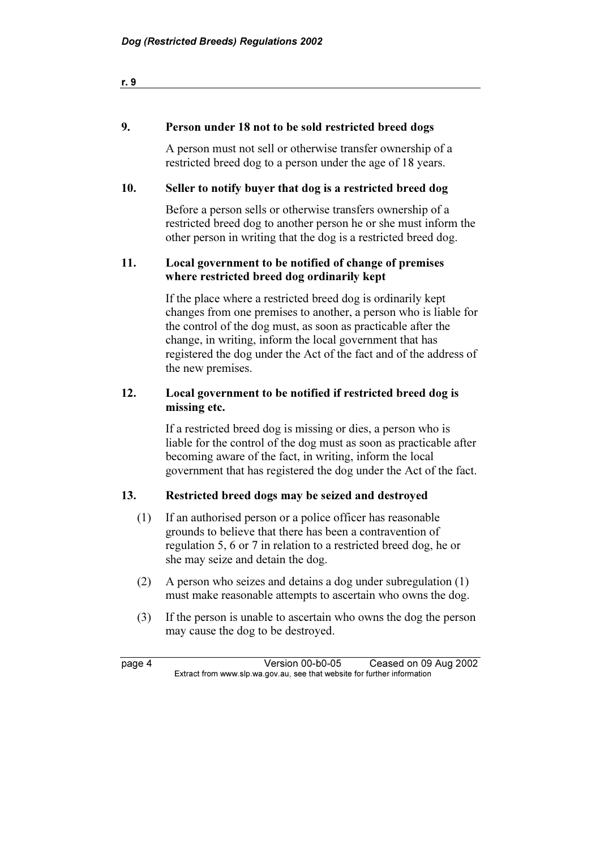| - |  |  |  |
|---|--|--|--|
|   |  |  |  |

#### 9. Person under 18 not to be sold restricted breed dogs

 A person must not sell or otherwise transfer ownership of a restricted breed dog to a person under the age of 18 years.

## 10. Seller to notify buyer that dog is a restricted breed dog

 Before a person sells or otherwise transfers ownership of a restricted breed dog to another person he or she must inform the other person in writing that the dog is a restricted breed dog.

## 11. Local government to be notified of change of premises where restricted breed dog ordinarily kept

 If the place where a restricted breed dog is ordinarily kept changes from one premises to another, a person who is liable for the control of the dog must, as soon as practicable after the change, in writing, inform the local government that has registered the dog under the Act of the fact and of the address of the new premises.

## 12. Local government to be notified if restricted breed dog is missing etc.

 If a restricted breed dog is missing or dies, a person who is liable for the control of the dog must as soon as practicable after becoming aware of the fact, in writing, inform the local government that has registered the dog under the Act of the fact.

## 13. Restricted breed dogs may be seized and destroyed

- (1) If an authorised person or a police officer has reasonable grounds to believe that there has been a contravention of regulation 5, 6 or 7 in relation to a restricted breed dog, he or she may seize and detain the dog.
- (2) A person who seizes and detains a dog under subregulation (1) must make reasonable attempts to ascertain who owns the dog.
- (3) If the person is unable to ascertain who owns the dog the person may cause the dog to be destroyed.

page 4 Version 00-b0-05 Ceased on 09 Aug 2002<br>Extract from www.slp.wa.gov.au, see that website for further information  $\mathbf{F}$  from which was the set that we besite for further information  $\mathbf{F}$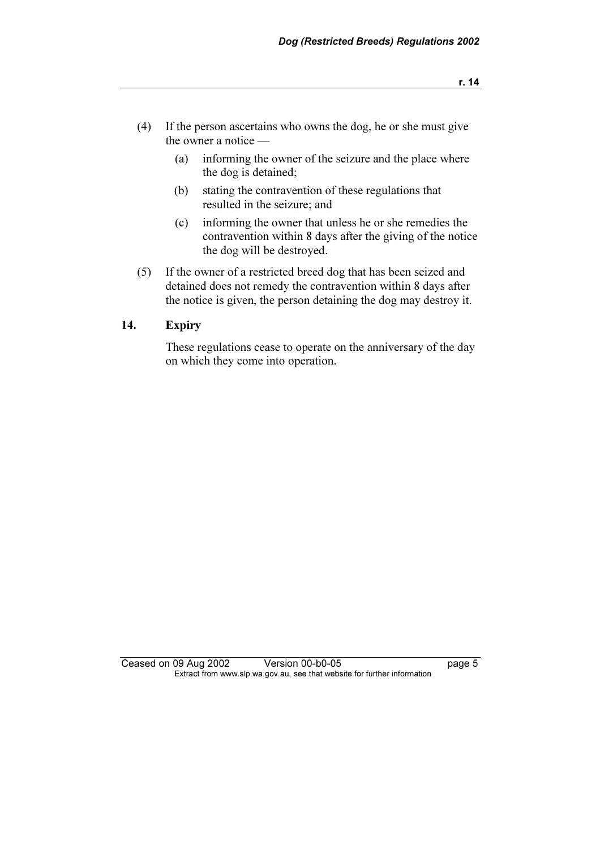- (4) If the person ascertains who owns the dog, he or she must give the owner a notice —
	- (a) informing the owner of the seizure and the place where the dog is detained;
	- (b) stating the contravention of these regulations that resulted in the seizure; and
	- (c) informing the owner that unless he or she remedies the contravention within 8 days after the giving of the notice the dog will be destroyed.
- (5) If the owner of a restricted breed dog that has been seized and detained does not remedy the contravention within 8 days after the notice is given, the person detaining the dog may destroy it.

## 14. Expiry

 These regulations cease to operate on the anniversary of the day on which they come into operation.

Ceased on 09 Aug 2002 Version 00-b0-05 page 5<br>Extract from www.slp.wa.gov.au, see that website for further information  $\mathbf{F}$  from which was the set that we besite for further information  $\mathbf{F}$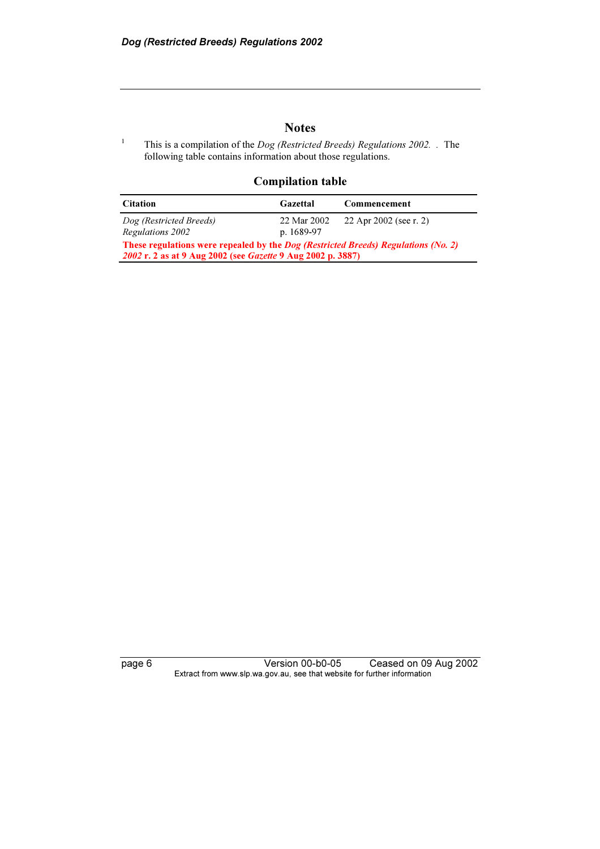1

## **Notes**

This is a compilation of the *Dog (Restricted Breeds) Regulations 2002*. . The following table contains information about those regulations.

#### Compilation table

| <b>Citation</b>                                                                                                                                                 | Gazettal                  | Commencement           |  |
|-----------------------------------------------------------------------------------------------------------------------------------------------------------------|---------------------------|------------------------|--|
| Dog (Restricted Breeds)<br>Regulations 2002                                                                                                                     | 22 Mar 2002<br>p. 1689-97 | 22 Apr 2002 (see r. 2) |  |
| These regulations were repealed by the <i>Dog (Restricted Breeds) Regulations (No. 2)</i><br>2002 r. 2 as at 9 Aug 2002 (see <i>Gazette</i> 9 Aug 2002 p. 3887) |                           |                        |  |

page 6 Version 00-b0-05 Ceased on 09 Aug 2002 Extract from www.slp.wa.gov.au, see that website for further information